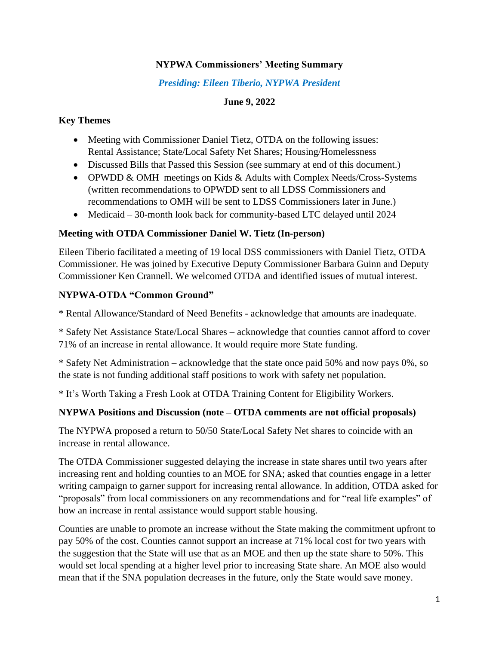### **NYPWA Commissioners' Meeting Summary**

### *Presiding: Eileen Tiberio, NYPWA President*

## **June 9, 2022**

### **Key Themes**

- Meeting with Commissioner Daniel Tietz, OTDA on the following issues: Rental Assistance; State/Local Safety Net Shares; Housing/Homelessness
- Discussed Bills that Passed this Session (see summary at end of this document.)
- OPWDD & OMH meetings on Kids & Adults with Complex Needs/Cross-Systems (written recommendations to OPWDD sent to all LDSS Commissioners and recommendations to OMH will be sent to LDSS Commissioners later in June.)
- Medicaid 30-month look back for community-based LTC delayed until 2024

### **Meeting with OTDA Commissioner Daniel W. Tietz (In-person)**

Eileen Tiberio facilitated a meeting of 19 local DSS commissioners with Daniel Tietz, OTDA Commissioner. He was joined by Executive Deputy Commissioner Barbara Guinn and Deputy Commissioner Ken Crannell. We welcomed OTDA and identified issues of mutual interest.

## **NYPWA-OTDA "Common Ground"**

\* Rental Allowance/Standard of Need Benefits - acknowledge that amounts are inadequate.

\* Safety Net Assistance State/Local Shares – acknowledge that counties cannot afford to cover 71% of an increase in rental allowance. It would require more State funding.

\* Safety Net Administration – acknowledge that the state once paid 50% and now pays 0%, so the state is not funding additional staff positions to work with safety net population.

\* It's Worth Taking a Fresh Look at OTDA Training Content for Eligibility Workers.

## **NYPWA Positions and Discussion (note – OTDA comments are not official proposals)**

The NYPWA proposed a return to 50/50 State/Local Safety Net shares to coincide with an increase in rental allowance.

The OTDA Commissioner suggested delaying the increase in state shares until two years after increasing rent and holding counties to an MOE for SNA; asked that counties engage in a letter writing campaign to garner support for increasing rental allowance. In addition, OTDA asked for "proposals" from local commissioners on any recommendations and for "real life examples" of how an increase in rental assistance would support stable housing.

Counties are unable to promote an increase without the State making the commitment upfront to pay 50% of the cost. Counties cannot support an increase at 71% local cost for two years with the suggestion that the State will use that as an MOE and then up the state share to 50%. This would set local spending at a higher level prior to increasing State share. An MOE also would mean that if the SNA population decreases in the future, only the State would save money.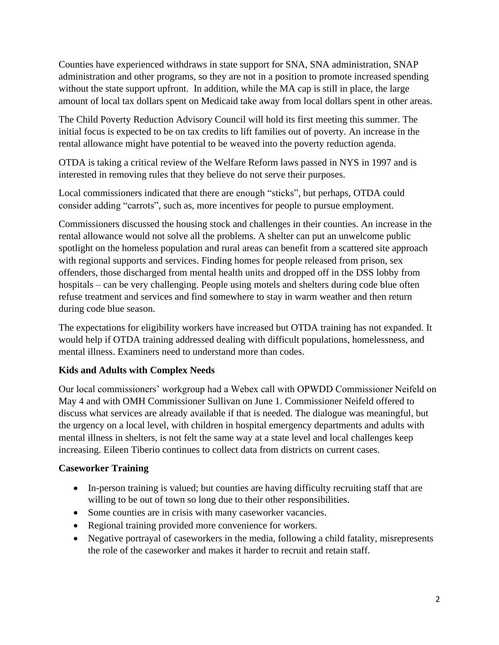Counties have experienced withdraws in state support for SNA, SNA administration, SNAP administration and other programs, so they are not in a position to promote increased spending without the state support upfront. In addition, while the MA cap is still in place, the large amount of local tax dollars spent on Medicaid take away from local dollars spent in other areas.

The Child Poverty Reduction Advisory Council will hold its first meeting this summer. The initial focus is expected to be on tax credits to lift families out of poverty. An increase in the rental allowance might have potential to be weaved into the poverty reduction agenda.

OTDA is taking a critical review of the Welfare Reform laws passed in NYS in 1997 and is interested in removing rules that they believe do not serve their purposes.

Local commissioners indicated that there are enough "sticks", but perhaps, OTDA could consider adding "carrots", such as, more incentives for people to pursue employment.

Commissioners discussed the housing stock and challenges in their counties. An increase in the rental allowance would not solve all the problems. A shelter can put an unwelcome public spotlight on the homeless population and rural areas can benefit from a scattered site approach with regional supports and services. Finding homes for people released from prison, sex offenders, those discharged from mental health units and dropped off in the DSS lobby from hospitals – can be very challenging. People using motels and shelters during code blue often refuse treatment and services and find somewhere to stay in warm weather and then return during code blue season.

The expectations for eligibility workers have increased but OTDA training has not expanded. It would help if OTDA training addressed dealing with difficult populations, homelessness, and mental illness. Examiners need to understand more than codes.

### **Kids and Adults with Complex Needs**

Our local commissioners' workgroup had a Webex call with OPWDD Commissioner Neifeld on May 4 and with OMH Commissioner Sullivan on June 1. Commissioner Neifeld offered to discuss what services are already available if that is needed. The dialogue was meaningful, but the urgency on a local level, with children in hospital emergency departments and adults with mental illness in shelters, is not felt the same way at a state level and local challenges keep increasing. Eileen Tiberio continues to collect data from districts on current cases.

### **Caseworker Training**

- In-person training is valued; but counties are having difficulty recruiting staff that are willing to be out of town so long due to their other responsibilities.
- Some counties are in crisis with many caseworker vacancies.
- Regional training provided more convenience for workers.
- Negative portrayal of caseworkers in the media, following a child fatality, misrepresents the role of the caseworker and makes it harder to recruit and retain staff.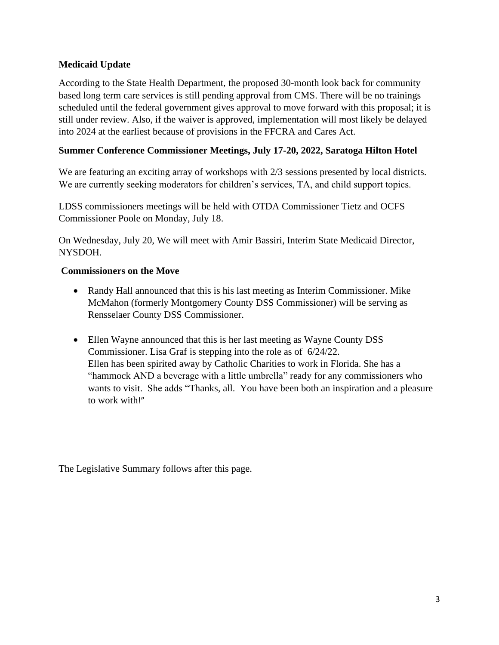## **Medicaid Update**

According to the State Health Department, the proposed 30-month look back for community based long term care services is still pending approval from CMS. There will be no trainings scheduled until the federal government gives approval to move forward with this proposal; it is still under review. Also, if the waiver is approved, implementation will most likely be delayed into 2024 at the earliest because of provisions in the FFCRA and Cares Act.

### **Summer Conference Commissioner Meetings, July 17-20, 2022, Saratoga Hilton Hotel**

We are featuring an exciting array of workshops with  $2/3$  sessions presented by local districts. We are currently seeking moderators for children's services, TA, and child support topics.

LDSS commissioners meetings will be held with OTDA Commissioner Tietz and OCFS Commissioner Poole on Monday, July 18.

On Wednesday, July 20, We will meet with Amir Bassiri, Interim State Medicaid Director, NYSDOH.

### **Commissioners on the Move**

- Randy Hall announced that this is his last meeting as Interim Commissioner. Mike McMahon (formerly Montgomery County DSS Commissioner) will be serving as Rensselaer County DSS Commissioner.
- Ellen Wayne announced that this is her last meeting as Wayne County DSS Commissioner. Lisa Graf is stepping into the role as of 6/24/22. Ellen has been spirited away by Catholic Charities to work in Florida. She has a "hammock AND a beverage with a little umbrella" ready for any commissioners who wants to visit. She adds "Thanks, all. You have been both an inspiration and a pleasure to work with!"

The Legislative Summary follows after this page.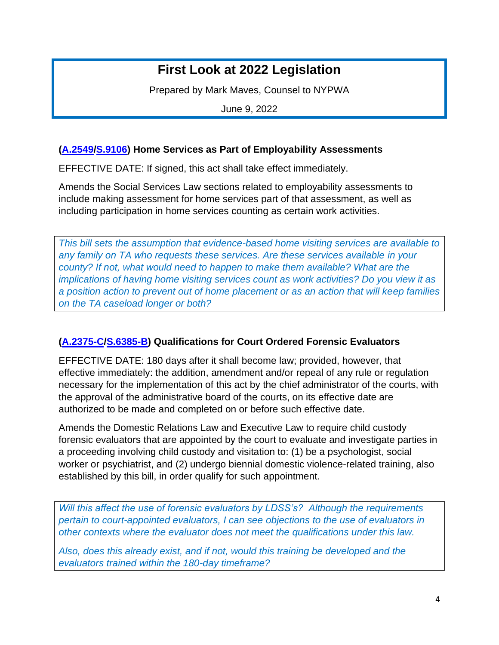# **First Look at 2022 Legislation**

Prepared by Mark Maves, Counsel to NYPWA

June 9, 2022

### **[\(A.2549](https://nyassembly.gov/leg/?default_fld=&leg_video=&bn=A02549&term=2021&Summary=Y&Actions=Y&Memo=Y&Text=Y)[/S.9106\)](https://www.nysenate.gov/legislation/bills/2021/s9106) Home Services as Part of Employability Assessments**

EFFECTIVE DATE: If signed, this act shall take effect immediately.

Amends the Social Services Law sections related to employability assessments to include making assessment for home services part of that assessment, as well as including participation in home services counting as certain work activities.

*This bill sets the assumption that evidence-based home visiting services are available to any family on TA who requests these services. Are these services available in your county? If not, what would need to happen to make them available? What are the implications of having home visiting services count as work activities? Do you view it as a position action to prevent out of home placement or as an action that will keep families on the TA caseload longer or both?*

### **[\(A.2375-C](https://nyassembly.gov/leg/?default_fld=&leg_video=&bn=A02375&term=2021&Summary=Y&Actions=Y&Memo=Y)[/S.6385-B\)](https://www.nysenate.gov/legislation/bills/2021/s6385/amendment/b) Qualifications for Court Ordered Forensic Evaluators**

EFFECTIVE DATE: 180 days after it shall become law; provided, however, that effective immediately: the addition, amendment and/or repeal of any rule or regulation necessary for the implementation of this act by the chief administrator of the courts, with the approval of the administrative board of the courts, on its effective date are authorized to be made and completed on or before such effective date.

Amends the Domestic Relations Law and Executive Law to require child custody forensic evaluators that are appointed by the court to evaluate and investigate parties in a proceeding involving child custody and visitation to: (1) be a psychologist, social worker or psychiatrist, and (2) undergo biennial domestic violence-related training, also established by this bill, in order qualify for such appointment.

*Will this affect the use of forensic evaluators by LDSS's? Although the requirements pertain to court-appointed evaluators, I can see objections to the use of evaluators in other contexts where the evaluator does not meet the qualifications under this law.*

*Also, does this already exist, and if not, would this training be developed and the evaluators trained within the 180-day timeframe?*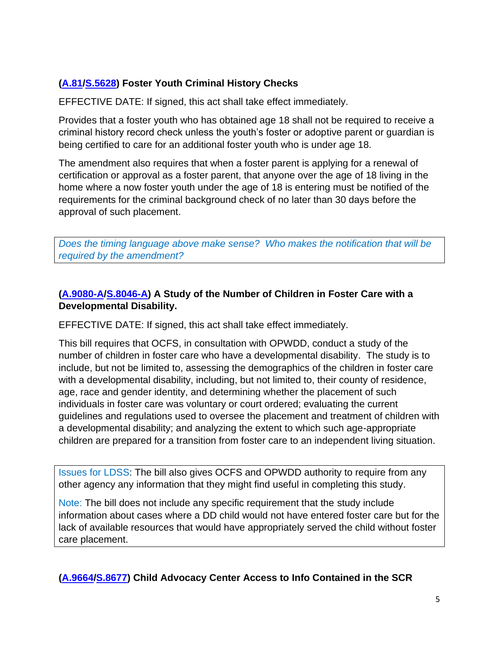## **[\(A.81](https://nyassembly.gov/leg/?default_fld=&leg_video=&bn=A00081&term=2021&Summary=Y&Actions=Y&Memo=Y&Text=Y)[/S.5628\)](https://www.nysenate.gov/legislation/bills/2021/s5628) Foster Youth Criminal History Checks**

EFFECTIVE DATE: If signed, this act shall take effect immediately.

Provides that a foster youth who has obtained age 18 shall not be required to receive a criminal history record check unless the youth's foster or adoptive parent or guardian is being certified to care for an additional foster youth who is under age 18.

The amendment also requires that when a foster parent is applying for a renewal of certification or approval as a foster parent, that anyone over the age of 18 living in the home where a now foster youth under the age of 18 is entering must be notified of the requirements for the criminal background check of no later than 30 days before the approval of such placement.

*Does the timing language above make sense? Who makes the notification that will be required by the amendment?*

## **[\(A.9080-A](https://nyassembly.gov/leg/?default_fld=%0D%0A&leg_video=&bn=A09080&term=2021&Summary=Y&Actions=Y&Memo=Y&Text=Y)[/S.8046-A\)](https://www.nysenate.gov/legislation/bills/2021/s8046) A Study of the Number of Children in Foster Care with a Developmental Disability.**

EFFECTIVE DATE: If signed, this act shall take effect immediately.

This bill requires that OCFS, in consultation with OPWDD, conduct a study of the number of children in foster care who have a developmental disability. The study is to include, but not be limited to, assessing the demographics of the children in foster care with a developmental disability, including, but not limited to, their county of residence, age, race and gender identity, and determining whether the placement of such individuals in foster care was voluntary or court ordered; evaluating the current guidelines and regulations used to oversee the placement and treatment of children with a developmental disability; and analyzing the extent to which such age-appropriate children are prepared for a transition from foster care to an independent living situation.

Issues for LDSS: The bill also gives OCFS and OPWDD authority to require from any other agency any information that they might find useful in completing this study.

Note: The bill does not include any specific requirement that the study include information about cases where a DD child would not have entered foster care but for the lack of available resources that would have appropriately served the child without foster care placement.

**[\(A.9664](https://nyassembly.gov/leg/?default_fld=%0D%0A&leg_video=&bn=A09664&term=2021&Summary=Y&Actions=Y&Memo=Y&Text=Y)[/S.8677\)](https://www.nysenate.gov/legislation/bills/2021/s8677) Child Advocacy Center Access to Info Contained in the SCR**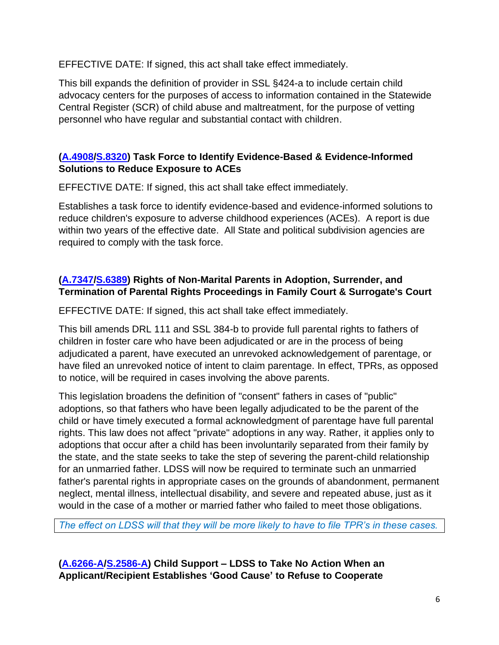EFFECTIVE DATE: If signed, this act shall take effect immediately.

This bill expands the definition of provider in SSL §424-a to include certain child advocacy centers for the purposes of access to information contained in the Statewide Central Register (SCR) of child abuse and maltreatment, for the purpose of vetting personnel who have regular and substantial contact with children.

## **[\(A.4908](https://nyassembly.gov/leg/?default_fld=&leg_video=&bn=A04908&term=2021&Summary=Y&Actions=Y&Memo=Y&Text=Y)[/S.8320\)](https://www.nysenate.gov/legislation/bills/2021/s8320) Task Force to Identify Evidence-Based & Evidence-Informed Solutions to Reduce Exposure to ACEs**

EFFECTIVE DATE: If signed, this act shall take effect immediately.

Establishes a task force to identify evidence-based and evidence-informed solutions to reduce children's exposure to adverse childhood experiences (ACEs). A report is due within two years of the effective date. All State and political subdivision agencies are required to comply with the task force.

## **[\(A.7347](https://nyassembly.gov/leg/?default_fld=%0D%0A&leg_video=&bn=A7347&term=2021&Summary=Y&Actions=Y&Memo=Y&Text=Y)[/S.6389\)](https://www.nysenate.gov/legislation/bills/2021/s6389) Rights of Non-Marital Parents in Adoption, Surrender, and Termination of Parental Rights Proceedings in Family Court & Surrogate's Court**

EFFECTIVE DATE: If signed, this act shall take effect immediately.

This bill amends DRL 111 and SSL 384-b to provide full parental rights to fathers of children in foster care who have been adjudicated or are in the process of being adjudicated a parent, have executed an unrevoked acknowledgement of parentage, or have filed an unrevoked notice of intent to claim parentage. In effect, TPRs, as opposed to notice, will be required in cases involving the above parents.

This legislation broadens the definition of "consent" fathers in cases of "public" adoptions, so that fathers who have been legally adjudicated to be the parent of the child or have timely executed a formal acknowledgment of parentage have full parental rights. This law does not affect "private" adoptions in any way. Rather, it applies only to adoptions that occur after a child has been involuntarily separated from their family by the state, and the state seeks to take the step of severing the parent-child relationship for an unmarried father. LDSS will now be required to terminate such an unmarried father's parental rights in appropriate cases on the grounds of abandonment, permanent neglect, mental illness, intellectual disability, and severe and repeated abuse, just as it would in the case of a mother or married father who failed to meet those obligations.

*The effect on LDSS will that they will be more likely to have to file TPR's in these cases.*

**[\(A.6266-A](https://nyassembly.gov/leg/?default_fld=%0D%0A&leg_video=&bn=A06266&term=2021&Summary=Y&Actions=Y&Memo=Y&Text=Y)[/S.2586-A\)](https://www.nysenate.gov/legislation/bills/2021/s2586) Child Support – LDSS to Take No Action When an Applicant/Recipient Establishes 'Good Cause' to Refuse to Cooperate**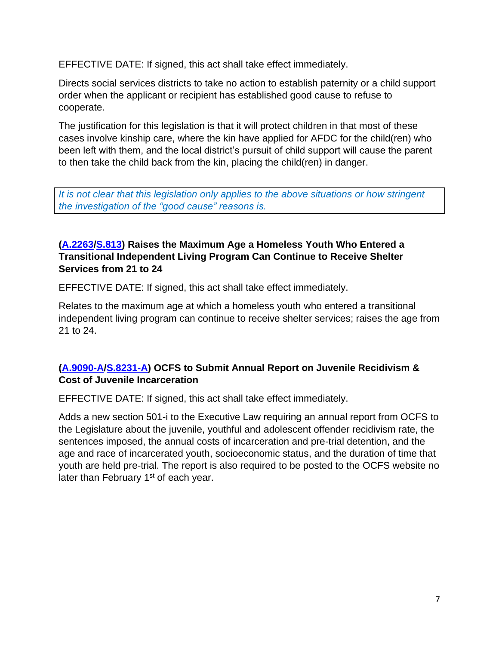EFFECTIVE DATE: If signed, this act shall take effect immediately.

Directs social services districts to take no action to establish paternity or a child support order when the applicant or recipient has established good cause to refuse to cooperate.

The justification for this legislation is that it will protect children in that most of these cases involve kinship care, where the kin have applied for AFDC for the child(ren) who been left with them, and the local district's pursuit of child support will cause the parent to then take the child back from the kin, placing the child(ren) in danger.

*It is not clear that this legislation only applies to the above situations or how stringent the investigation of the "good cause" reasons is.*

## **[\(A.2263](https://nyassembly.gov/leg/?default_fld=%0D%0A&leg_video=&bn=A02263&term=2021&Summary=Y&Actions=Y&Memo=Y&Text=Y)[/S.813\)](https://www.nysenate.gov/legislation/bills/2021/s813) Raises the Maximum Age a Homeless Youth Who Entered a Transitional Independent Living Program Can Continue to Receive Shelter Services from 21 to 24**

EFFECTIVE DATE: If signed, this act shall take effect immediately.

Relates to the maximum age at which a homeless youth who entered a transitional independent living program can continue to receive shelter services; raises the age from 21 to 24.

## **[\(A.9090-A](https://nyassembly.gov/leg/?default_fld=%0D%0A&leg_video=&bn=A9090&term=2021&Summary=Y&Actions=Y&Memo=Y&Text=Y)[/S.8231-A\)](https://www.nysenate.gov/legislation/bills/2021/s8231/amendment/a) OCFS to Submit Annual Report on Juvenile Recidivism & Cost of Juvenile Incarceration**

EFFECTIVE DATE: If signed, this act shall take effect immediately.

Adds a new section 501-i to the Executive Law requiring an annual report from OCFS to the Legislature about the juvenile, youthful and adolescent offender recidivism rate, the sentences imposed, the annual costs of incarceration and pre-trial detention, and the age and race of incarcerated youth, socioeconomic status, and the duration of time that youth are held pre-trial. The report is also required to be posted to the OCFS website no later than February 1<sup>st</sup> of each year.